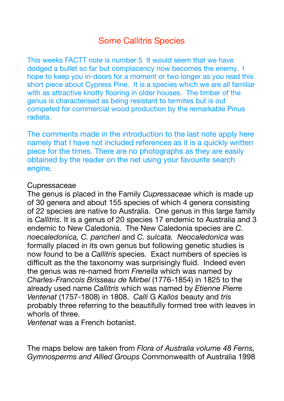# Some Callitris Species

This weeks FACTT note is number 5 It would seem that we have dodged a bullet so far but complacency now becomes the enemy. I hope to keep you in-doors for a moment or two longer as you read this short piece about Cypress Pine. It is a species which we are all familiar with as attractive knotty flooring in older houses. The timber of the genus is characterised as being resistant to termites but is out competed for commercial wood production by the remarkable Pinus radiata.

The comments made in the introduction to the last note apply here namely that I have not included references as it is a quickly written piece for the times. There are no photographs as they are easily obtained by the reader on the net using your favourite search engine.

#### **Cupressaceae**

The genus is placed in the Family *Cupressaceae* which is made up of 30 genera and about 155 species of which 4 genera consisting of 22 species are native to Australia. One genus in this large family is *Callitris*. It is a genus of 20 species 17 endemic to Australia and 3 endemic to New Caledonia. The New Caledonia species are *C. noecaledonica, C. pancheri* and *C. sulcata. Neocaledonica* was formally placed in its own genus but following genetic studies is now found to be a *Callitris* species. Exact numbers of species is difficult as the the taxonomy was surprisingly fluid. Indeed even the genus was re-named from *Frenella* which was named by *Charles-Francois Brisseau de Mirbel* (1776-1854) in 1825 to the already used name *Callitris* which was named by *Etienne Pierre Ventenat* (1757-1808) in 1808. *Calli* G *Kallos* beauty and *tris*  probably three referring to the beautifully formed tree with leaves in whorls of three.

*Ventenat* was a French botanist.

The maps below are taken from *Flora of Australia volume 48 Ferns, Gymnosperms and Allied Groups* Commonwealth of Australia 1998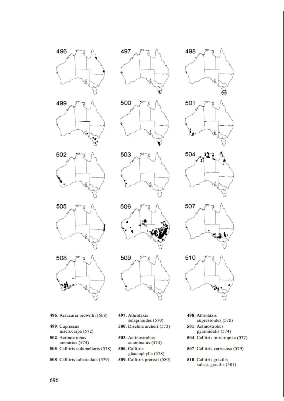











- 496. Araucaria bidwillii (568)
- 499. Cupressus macrocarpa (572)
- 502. Actinostrobus arenarius (574)
- 505. Callitris columellaris (578)
- 508. Callitris tuberculata (579)
- 497. Athrotaxis selaginoides (570) 500. Diselma archeri (573)
- 503. Actinostrobus acuminatus (574) 506. Callitris glaucophylla (578)
- 509. Callitris preissii (580)











- 498. Athrotaxis cupressoides (570)
- 501. Actinostrobus pyramidalis (574)
- 504. Callitris intratropica (577)
- 507. Callitris verrucosa (579)
- 510. Callitris gracilis subsp. gracilis (581)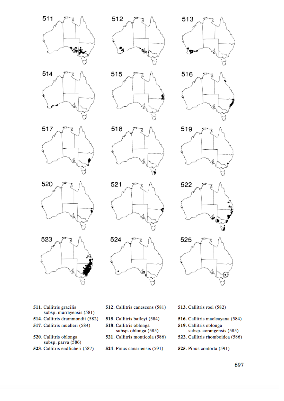



512

518



513







- 511. Callitris gracilis subsp. murrayensis (581)
- 514. Callitris drummondii (582)
- 517. Callitris muelleri (584)
- 520. Callitris oblonga subsp. parva (586)
- 523. Callitris endlicheri (587)
- 512. Callitris canescens (581)
- 515. Callitris baileyi (584)
- 518. Callitris oblonga subsp. oblonga (585)
- 521. Callitris monticola (586)
- 524. Pinus canariensis (591)
- 513. Callitris roei (582)
- 516. Callitris macleayana (584)
- 519. Callitris oblonga subsp. corangensis (585)
- 522. Callitris rhomboidea (586)
- 525. Pinus contorta (591)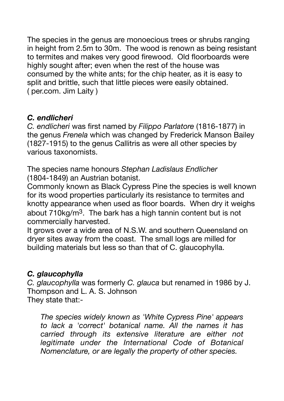The species in the genus are monoecious trees or shrubs ranging in height from 2.5m to 30m. The wood is renown as being resistant to termites and makes very good firewood. Old floorboards were highly sought after; even when the rest of the house was consumed by the white ants; for the chip heater, as it is easy to split and brittle, such that little pieces were easily obtained. ( per.com. Jim Laity )

### *C. endlicheri*

*C. endlicheri* was first named by *Filippo Parlatore* (1816-1877) in the genus *Frenela* which was changed by Frederick Manson Bailey (1827-1915) to the genus Callitris as were all other species by various taxonomists.

The species name honours *Stephan Ladislaus Endlicher* (1804-1849) an Austrian botanist.

Commonly known as Black Cypress Pine the species is well known for its wood properties particularly its resistance to termites and knotty appearance when used as floor boards. When dry it weighs about 710kg/m3. The bark has a high tannin content but is not commercially harvested.

It grows over a wide area of N.S.W. and southern Queensland on dryer sites away from the coast. The small logs are milled for building materials but less so than that of C. glaucophylla.

### *C. glaucophylla*

*C. glaucophylla* was formerly *C. glauca* but renamed in 1986 by J. Thompson and L. A. S. Johnson They state that:-

*The species widely known as 'White Cypress Pine' appears to lack a 'correct' botanical name. All the names it has carried through its extensive literature are either not legitimate under the International Code of Botanical Nomenclature, or are legally the property of other species.*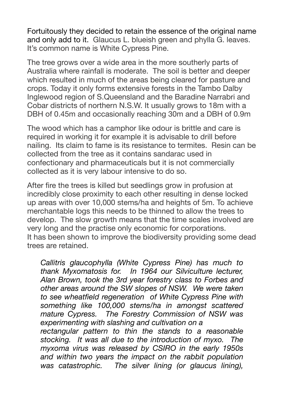Fortuitously they decided to retain the essence of the original name and only add to it. Glaucus L. blueish green and phylla G. leaves. It's common name is White Cypress Pine.

The tree grows over a wide area in the more southerly parts of Australia where rainfall is moderate. The soil is better and deeper which resulted in much of the areas being cleared for pasture and crops. Today it only forms extensive forests in the Tambo Dalby Inglewood region of S.Queensland and the Baradine Narrabri and Cobar districts of northern N.S.W. It usually grows to 18m with a DBH of 0.45m and occasionally reaching 30m and a DBH of 0.9m

The wood which has a camphor like odour is brittle and care is required in working it for example it is advisable to drill before nailing. Its claim to fame is its resistance to termites. Resin can be collected from the tree as it contains sandarac used in confectionary and pharmaceuticals but it is not commercially collected as it is very labour intensive to do so.

After fire the trees is killed but seedlings grow in profusion at incredibly close proximity to each other resulting in dense locked up areas with over 10,000 stems/ha and heights of 5m. To achieve merchantable logs this needs to be thinned to allow the trees to develop. The slow growth means that the time scales involved are very long and the practise only economic for corporations. It has been shown to improve the biodiversity providing some dead trees are retained.

*Callitris glaucophylla (White Cypress Pine) has much to thank Myxomatosis for. In 1964 our Silviculture lecturer, Alan Brown, took the 3rd year forestry class to Forbes and other areas around the SW slopes of NSW. We were taken to see wheatfield regeneration of White Cypress Pine with something like 100,000 stems/ha in amongst scattered mature Cypress. The Forestry Commission of NSW was experimenting with slashing and cultivation on a rectangular pattern to thin the stands to a reasonable stocking. It was all due to the introduction of myxo. The myxoma virus was released by CSIRO in the early 1950s and within two years the impact on the rabbit population was catastrophic. The silver lining (or glaucus lining),*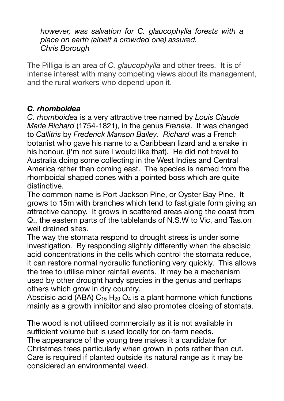*however, was salvation for C. glaucophylla forests with a place on earth (albeit a crowded one) assured. Chris Borough* 

The Pilliga is an area of *C. glaucophylla* and other trees. It is of intense interest with many competing views about its management, and the rural workers who depend upon it.

### *C. rhomboidea*

*C. rhomboidea* is a very attractive tree named by *Louis Claude Marie Richard* (1754-1821), in the genus *Frenela*. It was changed to *Callitris* by *Frederick Manson Bailey*. *Richard* was a French botanist who gave his name to a Caribbean lizard and a snake in his honour. (I'm not sure I would like that). He did not travel to Australia doing some collecting in the West Indies and Central America rather than coming east. The species is named from the rhomboidal shaped cones with a pointed boss which are quite distinctive.

The common name is Port Jackson Pine, or Oyster Bay Pine. It grows to 15m with branches which tend to fastigiate form giving an attractive canopy. It grows in scattered areas along the coast from Q., the eastern parts of the tablelands of N.S.W to Vic, and Tas.on well drained sites.

The way the stomata respond to drought stress is under some investigation. By responding slightly differently when the abscisic acid concentrations in the cells which control the stomata reduce, it can restore normal hydraulic functioning very quickly. This allows the tree to utilise minor rainfall events. It may be a mechanism used by other drought hardy species in the genus and perhaps others which grow in dry country.

Abscisic acid (ABA)  $C_{15}$  H<sub>20</sub> O<sub>4</sub> is a plant hormone which functions mainly as a growth inhibitor and also promotes closing of stomata.

The wood is not utilised commercially as it is not available in sufficient volume but is used locally for on-farm needs. The appearance of the young tree makes it a candidate for Christmas trees particularly when grown in pots rather than cut. Care is required if planted outside its natural range as it may be considered an environmental weed.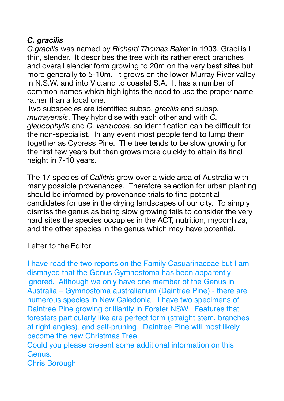## *C. gracilis*

*C.gracilis* was named by *Richard Thomas Bake*r in 1903. Gracilis L thin, slender. It describes the tree with its rather erect branches and overall slender form growing to 20m on the very best sites but more generally to 5-10m. It grows on the lower Murray River valley in N.S.W. and into Vic.and to coastal S.A. It has a number of common names which highlights the need to use the proper name rather than a local one.

Two subspecies are identified subsp. *gracilis* and subsp. *murrayensis*. They hybridise with each other and with *C. glaucophylla* and *C. verrucosa.* so identification can be difficult for the non-specialist. In any event most people tend to lump them together as Cypress Pine. The tree tends to be slow growing for the first few years but then grows more quickly to attain its final height in 7-10 years.

The 17 species of *Callitris* grow over a wide area of Australia with many possible provenances. Therefore selection for urban planting should be informed by provenance trials to find potential candidates for use in the drying landscapes of our city. To simply dismiss the genus as being slow growing fails to consider the very hard sites the species occupies in the ACT, nutrition, mycorrhiza, and the other species in the genus which may have potential.

Letter to the Editor

I have read the two reports on the Family Casuarinaceae but I am dismayed that the Genus Gymnostoma has been apparently ignored. Although we only have one member of the Genus in Australia – Gymnostoma australianum (Daintree Pine) - there are numerous species in New Caledonia. I have two specimens of Daintree Pine growing brilliantly in Forster NSW. Features that foresters particularly like are perfect form (straight stem, branches at right angles), and self-pruning. Daintree Pine will most likely become the new Christmas Tree.

Could you please present some additional information on this Genus.

Chris Borough